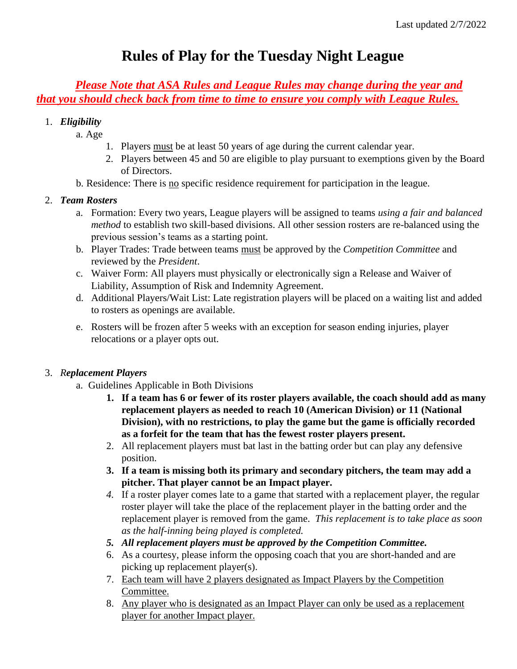# **Rules of Play for the Tuesday Night League**

*Please Note that ASA Rules and League Rules may change during the year and that you should check back from time to time to ensure you comply with League Rules.*

#### 1. *Eligibility*

- a. Age
	- 1. Players must be at least 50 years of age during the current calendar year.
	- 2. Players between 45 and 50 are eligible to play pursuant to exemptions given by the Board of Directors.
- b. Residence: There is no specific residence requirement for participation in the league.

#### 2. *Team Rosters*

- a. Formation: Every two years, League players will be assigned to teams *using a fair and balanced method* to establish two skill-based divisions. All other session rosters are re-balanced using the previous session's teams as a starting point.
- b. Player Trades: Trade between teams must be approved by the *Competition Committee* and reviewed by the *President*.
- c. Waiver Form: All players must physically or electronically sign a Release and Waiver of Liability, Assumption of Risk and Indemnity Agreement.
- d. Additional Players/Wait List: Late registration players will be placed on a waiting list and added to rosters as openings are available.
- e. Rosters will be frozen after 5 weeks with an exception for season ending injuries, player relocations or a player opts out.

#### 3. *Replacement Players*

- a. Guidelines Applicable in Both Divisions
	- **1. If a team has 6 or fewer of its roster players available, the coach should add as many replacement players as needed to reach 10 (American Division) or 11 (National Division), with no restrictions, to play the game but the game is officially recorded as a forfeit for the team that has the fewest roster players present.**
	- 2. All replacement players must bat last in the batting order but can play any defensive position.
	- **3. If a team is missing both its primary and secondary pitchers, the team may add a pitcher. That player cannot be an Impact player.**
	- *4.* If a roster player comes late to a game that started with a replacement player, the regular roster player will take the place of the replacement player in the batting order and the replacement player is removed from the game. *This replacement is to take place as soon as the half-inning being played is completed.*
	- *5. All replacement players must be approved by the Competition Committee.*
	- 6. As a courtesy, please inform the opposing coach that you are short-handed and are picking up replacement player(s).
	- 7. Each team will have 2 players designated as Impact Players by the Competition Committee.
	- 8. Any player who is designated as an Impact Player can only be used as a replacement player for another Impact player.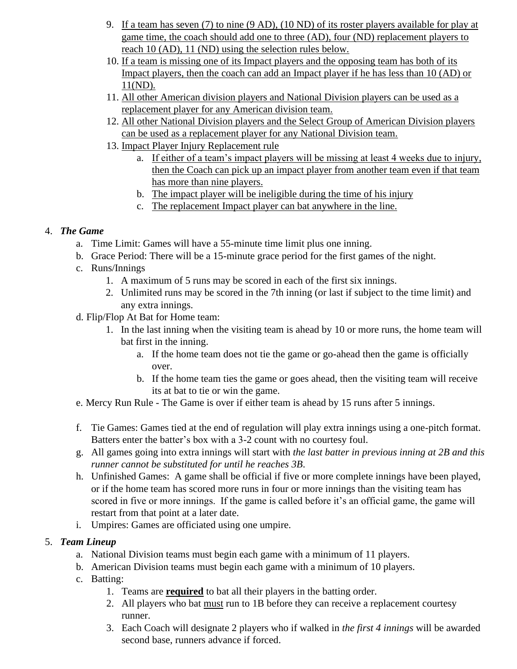- 9. If a team has seven (7) to nine (9 AD), (10 ND) of its roster players available for play at game time, the coach should add one to three (AD), four (ND) replacement players to reach 10 (AD), 11 (ND) using the selection rules below.
- 10. If a team is missing one of its Impact players and the opposing team has both of its Impact players, then the coach can add an Impact player if he has less than 10 (AD) or 11(ND).
- 11. All other American division players and National Division players can be used as a replacement player for any American division team.
- 12. All other National Division players and the Select Group of American Division players can be used as a replacement player for any National Division team.
- 13. Impact Player Injury Replacement rule
	- a. If either of a team's impact players will be missing at least 4 weeks due to injury, then the Coach can pick up an impact player from another team even if that team has more than nine players.
	- b. The impact player will be ineligible during the time of his injury
	- c. The replacement Impact player can bat anywhere in the line.

# 4. *The Game*

- a. Time Limit: Games will have a 55-minute time limit plus one inning.
- b. Grace Period: There will be a 15-minute grace period for the first games of the night.
- c. Runs/Innings
	- 1. A maximum of 5 runs may be scored in each of the first six innings.
	- 2. Unlimited runs may be scored in the 7th inning (or last if subject to the time limit) and any extra innings.
- d. Flip/Flop At Bat for Home team:
	- 1. In the last inning when the visiting team is ahead by 10 or more runs, the home team will bat first in the inning.
		- a. If the home team does not tie the game or go-ahead then the game is officially over.
		- b. If the home team ties the game or goes ahead, then the visiting team will receive its at bat to tie or win the game.
- e. Mercy Run Rule The Game is over if either team is ahead by 15 runs after 5 innings.
- f. Tie Games: Games tied at the end of regulation will play extra innings using a one-pitch format. Batters enter the batter's box with a 3-2 count with no courtesy foul.
- g. All games going into extra innings will start with *the last batter in previous inning at 2B and this runner cannot be substituted for until he reaches 3B*.
- h. Unfinished Games: A game shall be official if five or more complete innings have been played, or if the home team has scored more runs in four or more innings than the visiting team has scored in five or more innings. If the game is called before it's an official game, the game will restart from that point at a later date.
- i. Umpires: Games are officiated using one umpire.

# 5. *Team Lineup*

- a. National Division teams must begin each game with a minimum of 11 players.
- b. American Division teams must begin each game with a minimum of 10 players.
- c. Batting:
	- 1. Teams are **required** to bat all their players in the batting order.
	- 2. All players who bat must run to 1B before they can receive a replacement courtesy runner.
	- 3. Each Coach will designate 2 players who if walked in *the first 4 innings* will be awarded second base, runners advance if forced.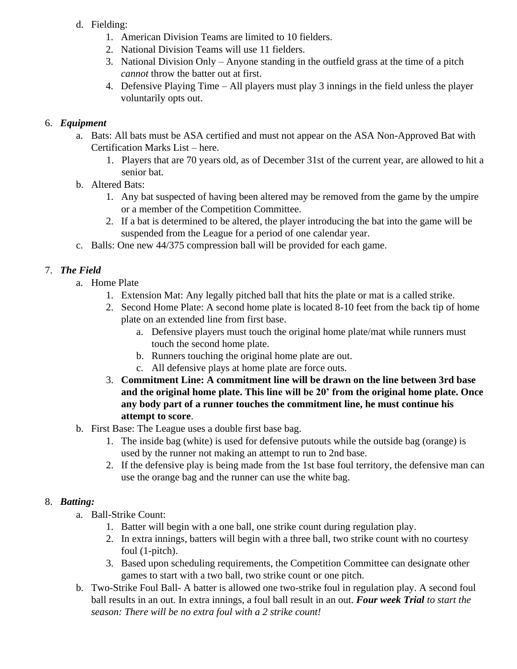- d. Fielding:
	- 1. American Division Teams are limited to 10 fielders.
	- 2. National Division Teams will use 11 fielders.
	- 3. National Division Only Anyone standing in the outfield grass at the time of a pitch *cannot* throw the batter out at first.
	- 4. Defensive Playing Time All players must play 3 innings in the field unless the player voluntarily opts out.

#### 6. *Equipment*

- a. Bats: All bats must be ASA certified and must not appear on the ASA Non-Approved Bat with Certification Marks List [–](http://usa.asasoftball.com/e/build_batlist_w_pics_2000.asp) [here.](http://usa.asasoftball.com/e/build_batlist_w_pics_2000.asp)
	- 1. Players that are 70 years old, as of December 31st of the current year, are allowed to hit a senior bat.
- b. Altered Bats:
	- 1. Any bat suspected of having been altered may be removed from the game by the umpire or a member of the Competition Committee.
	- 2. If a bat is determined to be altered, the player introducing the bat into the game will be suspended from the League for a period of one calendar year.
- c. Balls: One new 44/375 compression ball will be provided for each game.

# 7. *The Field*

- a. Home Plate
	- 1. Extension Mat: Any legally pitched ball that hits the plate or mat is a called strike.
	- 2. Second Home Plate: A second home plate is located 8-10 feet from the back tip of home plate on an extended line from first base.
		- a. Defensive players must touch the original home plate/mat while runners must touch the second home plate.
		- b. Runners touching the original home plate are out.
		- c. All defensive plays at home plate are force outs.
	- 3. **Commitment Line: A commitment line will be drawn on the line between 3rd base and the original home plate. This line will be 20' from the original home plate. Once any body part of a runner touches the commitment line, he must continue his attempt to score**.
- b. First Base: The League uses a double first base bag.
	- 1. The inside bag (white) is used for defensive putouts while the outside bag (orange) is used by the runner not making an attempt to run to 2nd base.
	- 2. If the defensive play is being made from the 1st base foul territory, the defensive man can use the orange bag and the runner can use the white bag.

# 8. *Batting:*

- a. Ball-Strike Count:
	- 1. Batter will begin with a one ball, one strike count during regulation play.
	- 2. In extra innings, batters will begin with a three ball, two strike count with no courtesy foul (1-pitch).
	- 3. Based upon scheduling requirements, the Competition Committee can designate other games to start with a two ball, two strike count or one pitch.
- b. Two-Strike Foul Ball- A batter is allowed one two-strike foul in regulation play. A second foul ball results in an out. In extra innings, a foul ball result in an out. *Four week Trial to start the season: There will be no extra foul with a 2 strike count!*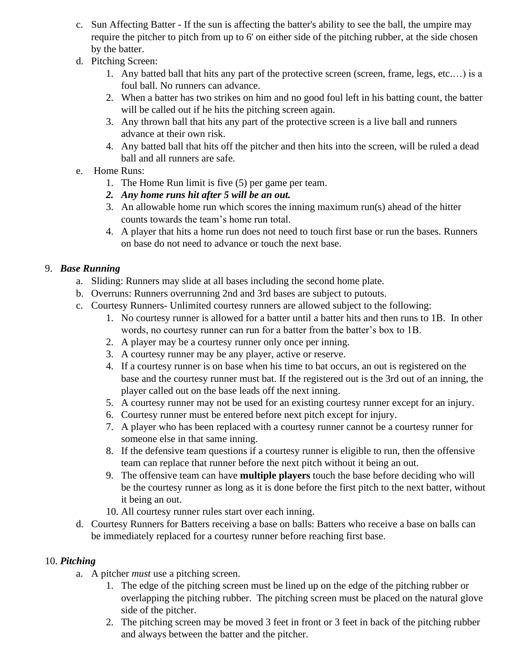- c. Sun Affecting Batter If the sun is affecting the batter's ability to see the ball, the umpire may require the pitcher to pitch from up to 6' on either side of the pitching rubber, at the side chosen by the batter.
- d. Pitching Screen:
	- 1. Any batted ball that hits any part of the protective screen (screen, frame, legs, etc.…) is a foul ball. No runners can advance.
	- 2. When a batter has two strikes on him and no good foul left in his batting count, the batter will be called out if he hits the pitching screen again.
	- 3. Any thrown ball that hits any part of the protective screen is a live ball and runners advance at their own risk.
	- 4. Any batted ball that hits off the pitcher and then hits into the screen, will be ruled a dead ball and all runners are safe.
- e. Home Runs:
	- 1. The Home Run limit is five (5) per game per team.
	- *2. Any home runs hit after 5 will be an out.*
	- 3. An allowable home run which scores the inning maximum run(s) ahead of the hitter counts towards the team's home run total.
	- 4. A player that hits a home run does not need to touch first base or run the bases. Runners on base do not need to advance or touch the next base.

# 9. *Base Running*

- a. Sliding: Runners may slide at all bases including the second home plate.
- b. Overruns: Runners overrunning 2nd and 3rd bases are subject to putouts.
- c. Courtesy Runners- Unlimited courtesy runners are allowed subject to the following:
	- 1. No courtesy runner is allowed for a batter until a batter hits and then runs to 1B. In other words, no courtesy runner can run for a batter from the batter's box to 1B.
	- 2. A player may be a courtesy runner only once per inning.
	- 3. A courtesy runner may be any player, active or reserve.
	- 4. If a courtesy runner is on base when his time to bat occurs, an out is registered on the base and the courtesy runner must bat. If the registered out is the 3rd out of an inning, the player called out on the base leads off the next inning.
	- 5. A courtesy runner may not be used for an existing courtesy runner except for an injury.
	- 6. Courtesy runner must be entered before next pitch except for injury.
	- 7. A player who has been replaced with a courtesy runner cannot be a courtesy runner for someone else in that same inning.
	- 8. If the defensive team questions if a courtesy runner is eligible to run, then the offensive team can replace that runner before the next pitch without it being an out.
	- 9. The offensive team can have **multiple players** touch the base before deciding who will be the courtesy runner as long as it is done before the first pitch to the next batter, without it being an out.
	- 10. All courtesy runner rules start over each inning.
- d. Courtesy Runners for Batters receiving a base on balls: Batters who receive a base on balls can be immediately replaced for a courtesy runner before reaching first base.

# 10. *Pitching*

- a. A pitcher *must* use a pitching screen.
	- 1. The edge of the pitching screen must be lined up on the edge of the pitching rubber or overlapping the pitching rubber. The pitching screen must be placed on the natural glove side of the pitcher.
	- 2. The pitching screen may be moved 3 feet in front or 3 feet in back of the pitching rubber and always between the batter and the pitcher.